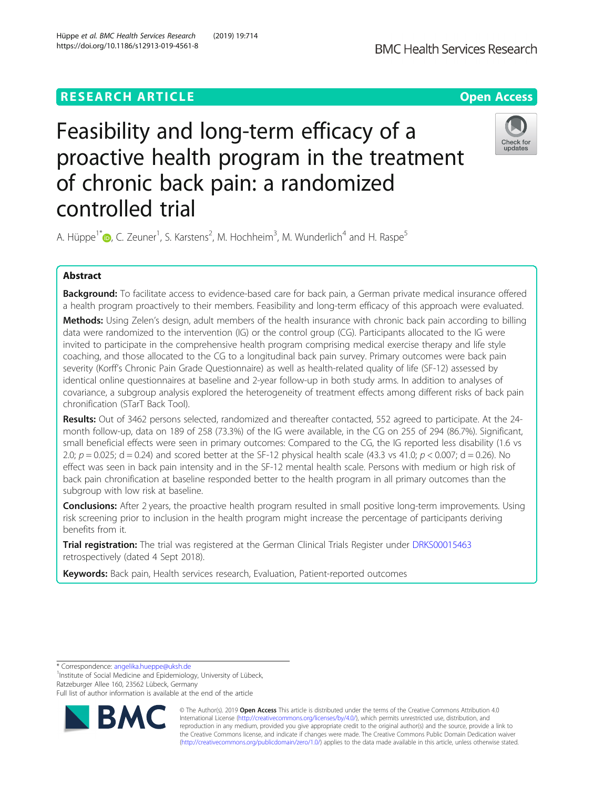# **RESEARCH ARTICLE Example 2014 12:30 The Contract of Contract ACCESS**

# Feasibility and long-term efficacy of a proactive health program in the treatment of chronic back pain: a randomized controlled trial

A. Hüppe<sup>1\*</sup>®[,](http://orcid.org/0000-0002-6168-6785) C. Zeuner<sup>1</sup>, S. Karstens<sup>2</sup>, M. Hochheim<sup>3</sup>, M. Wunderlich<sup>4</sup> and H. Raspe<sup>5</sup>

# Abstract

Background: To facilitate access to evidence-based care for back pain, a German private medical insurance offered a health program proactively to their members. Feasibility and long-term efficacy of this approach were evaluated.

Methods: Using Zelen's design, adult members of the health insurance with chronic back pain according to billing data were randomized to the intervention (IG) or the control group (CG). Participants allocated to the IG were invited to participate in the comprehensive health program comprising medical exercise therapy and life style coaching, and those allocated to the CG to a longitudinal back pain survey. Primary outcomes were back pain severity (Korff's Chronic Pain Grade Questionnaire) as well as health-related quality of life (SF-12) assessed by identical online questionnaires at baseline and 2-year follow-up in both study arms. In addition to analyses of covariance, a subgroup analysis explored the heterogeneity of treatment effects among different risks of back pain chronification (STarT Back Tool).

Results: Out of 3462 persons selected, randomized and thereafter contacted, 552 agreed to participate. At the 24month follow-up, data on 189 of 258 (73.3%) of the IG were available, in the CG on 255 of 294 (86.7%). Significant, small beneficial effects were seen in primary outcomes: Compared to the CG, the IG reported less disability (1.6 vs 2.0;  $p = 0.025$ ; d = 0.24) and scored better at the SF-12 physical health scale (43.3 vs 41.0;  $p < 0.007$ ; d = 0.26). No effect was seen in back pain intensity and in the SF-12 mental health scale. Persons with medium or high risk of back pain chronification at baseline responded better to the health program in all primary outcomes than the subgroup with low risk at baseline.

**Conclusions:** After 2 years, the proactive health program resulted in small positive long-term improvements. Using risk screening prior to inclusion in the health program might increase the percentage of participants deriving benefits from it.

Trial registration: The trial was registered at the German Clinical Trials Register under [DRKS00015463](https://www.drks.de/drks_web/navigate.do?navigationId=trial.HTML&TRIAL_ID=DRKS00015463) retrospectively (dated 4 Sept 2018).

Keywords: Back pain, Health services research, Evaluation, Patient-reported outcomes

\* Correspondence: [angelika.hueppe@uksh.de](mailto:angelika.hueppe@uksh.de) <sup>1</sup>

<sup>1</sup>Institute of Social Medicine and Epidemiology, University of Lübeck, Ratzeburger Allee 160, 23562 Lübeck, Germany

Full list of author information is available at the end of the article

© The Author(s). 2019 **Open Access** This article is distributed under the terms of the Creative Commons Attribution 4.0 International License [\(http://creativecommons.org/licenses/by/4.0/](http://creativecommons.org/licenses/by/4.0/)), which permits unrestricted use, distribution, and reproduction in any medium, provided you give appropriate credit to the original author(s) and the source, provide a link to the Creative Commons license, and indicate if changes were made. The Creative Commons Public Domain Dedication waiver [\(http://creativecommons.org/publicdomain/zero/1.0/](http://creativecommons.org/publicdomain/zero/1.0/)) applies to the data made available in this article, unless otherwise stated.

Hüppe et al. BMC Health Services Research (2019) 19:714 https://doi.org/10.1186/s12913-019-4561-8



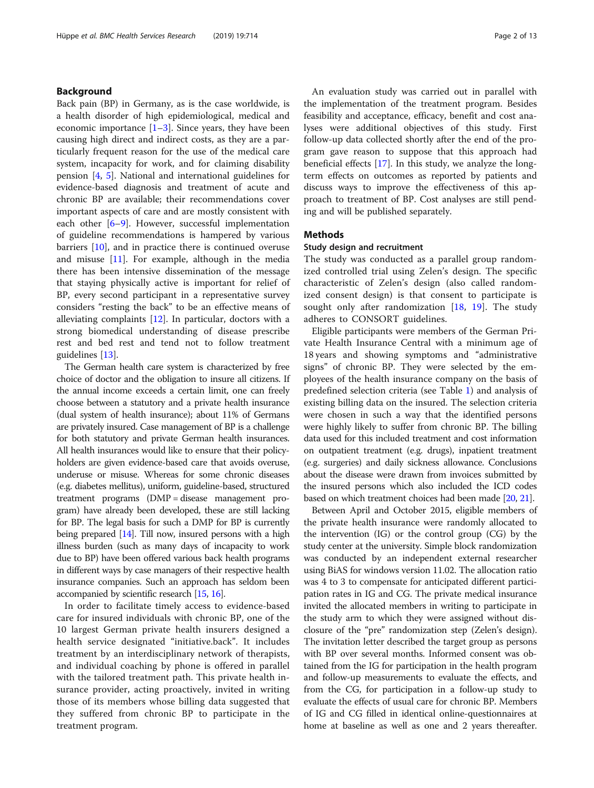# Background

Back pain (BP) in Germany, as is the case worldwide, is a health disorder of high epidemiological, medical and economic importance  $[1-3]$  $[1-3]$  $[1-3]$  $[1-3]$  $[1-3]$ . Since years, they have been causing high direct and indirect costs, as they are a particularly frequent reason for the use of the medical care system, incapacity for work, and for claiming disability pension [[4](#page-10-0), [5](#page-11-0)]. National and international guidelines for evidence-based diagnosis and treatment of acute and chronic BP are available; their recommendations cover important aspects of care and are mostly consistent with each other  $[6-9]$  $[6-9]$  $[6-9]$ . However, successful implementation of guideline recommendations is hampered by various barriers [[10\]](#page-11-0), and in practice there is continued overuse and misuse [\[11\]](#page-11-0). For example, although in the media there has been intensive dissemination of the message that staying physically active is important for relief of BP, every second participant in a representative survey considers "resting the back" to be an effective means of alleviating complaints [\[12](#page-11-0)]. In particular, doctors with a strong biomedical understanding of disease prescribe rest and bed rest and tend not to follow treatment guidelines [[13](#page-11-0)].

The German health care system is characterized by free choice of doctor and the obligation to insure all citizens. If the annual income exceeds a certain limit, one can freely choose between a statutory and a private health insurance (dual system of health insurance); about 11% of Germans are privately insured. Case management of BP is a challenge for both statutory and private German health insurances. All health insurances would like to ensure that their policyholders are given evidence-based care that avoids overuse, underuse or misuse. Whereas for some chronic diseases (e.g. diabetes mellitus), uniform, guideline-based, structured treatment programs (DMP = disease management program) have already been developed, these are still lacking for BP. The legal basis for such a DMP for BP is currently being prepared [\[14\]](#page-11-0). Till now, insured persons with a high illness burden (such as many days of incapacity to work due to BP) have been offered various back health programs in different ways by case managers of their respective health insurance companies. Such an approach has seldom been accompanied by scientific research [[15](#page-11-0), [16](#page-11-0)].

In order to facilitate timely access to evidence-based care for insured individuals with chronic BP, one of the 10 largest German private health insurers designed a health service designated "initiative.back". It includes treatment by an interdisciplinary network of therapists, and individual coaching by phone is offered in parallel with the tailored treatment path. This private health insurance provider, acting proactively, invited in writing those of its members whose billing data suggested that they suffered from chronic BP to participate in the treatment program.

An evaluation study was carried out in parallel with the implementation of the treatment program. Besides feasibility and acceptance, efficacy, benefit and cost analyses were additional objectives of this study. First follow-up data collected shortly after the end of the program gave reason to suppose that this approach had beneficial effects [[17](#page-11-0)]. In this study, we analyze the longterm effects on outcomes as reported by patients and discuss ways to improve the effectiveness of this approach to treatment of BP. Cost analyses are still pending and will be published separately.

# Methods

# Study design and recruitment

The study was conducted as a parallel group randomized controlled trial using Zelen's design. The specific characteristic of Zelen's design (also called randomized consent design) is that consent to participate is sought only after randomization [[18,](#page-11-0) [19](#page-11-0)]. The study adheres to CONSORT guidelines.

Eligible participants were members of the German Private Health Insurance Central with a minimum age of 18 years and showing symptoms and "administrative signs" of chronic BP. They were selected by the employees of the health insurance company on the basis of predefined selection criteria (see Table [1\)](#page-2-0) and analysis of existing billing data on the insured. The selection criteria were chosen in such a way that the identified persons were highly likely to suffer from chronic BP. The billing data used for this included treatment and cost information on outpatient treatment (e.g. drugs), inpatient treatment (e.g. surgeries) and daily sickness allowance. Conclusions about the disease were drawn from invoices submitted by the insured persons which also included the ICD codes based on which treatment choices had been made [\[20,](#page-11-0) [21\]](#page-11-0).

Between April and October 2015, eligible members of the private health insurance were randomly allocated to the intervention (IG) or the control group (CG) by the study center at the university. Simple block randomization was conducted by an independent external researcher using BiAS for windows version 11.02. The allocation ratio was 4 to 3 to compensate for anticipated different participation rates in IG and CG. The private medical insurance invited the allocated members in writing to participate in the study arm to which they were assigned without disclosure of the "pre" randomization step (Zelen's design). The invitation letter described the target group as persons with BP over several months. Informed consent was obtained from the IG for participation in the health program and follow-up measurements to evaluate the effects, and from the CG, for participation in a follow-up study to evaluate the effects of usual care for chronic BP. Members of IG and CG filled in identical online-questionnaires at home at baseline as well as one and 2 years thereafter.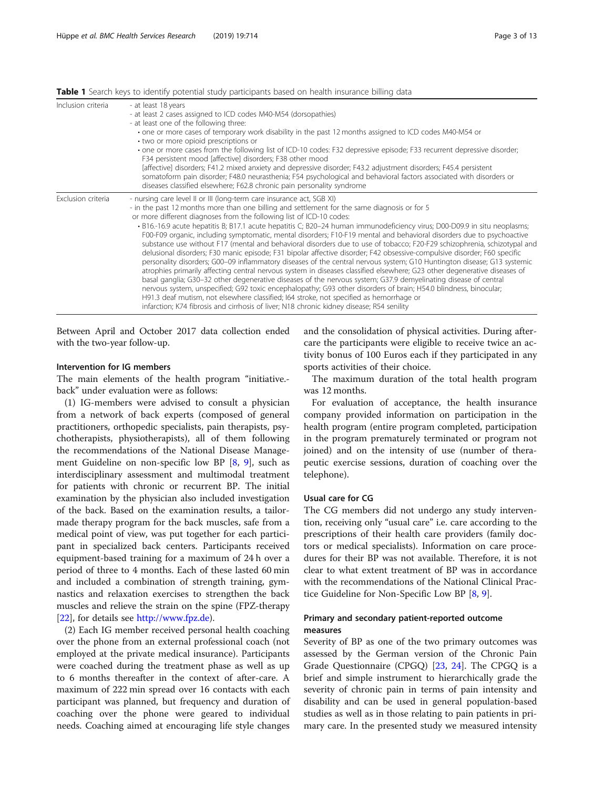| Inclusion criteria | - at least 18 years<br>- at least 2 cases assigned to ICD codes M40-M54 (dorsopathies)<br>- at least one of the following three:<br>• one or more cases of temporary work disability in the past 12 months assigned to ICD codes M40-M54 or<br>• two or more opioid prescriptions or<br>• one or more cases from the following list of ICD-10 codes: F32 depressive episode; F33 recurrent depressive disorder;<br>F34 persistent mood [affective] disorders; F38 other mood<br>[affective] disorders; F41.2 mixed anxiety and depressive disorder; F43.2 adjustment disorders; F45.4 persistent<br>somatoform pain disorder; F48.0 neurasthenia; F54 psychological and behavioral factors associated with disorders or<br>diseases classified elsewhere; F62.8 chronic pain personality syndrome                                                                                                                                                                                                                                                                                                                                                                                                                                                                                                                                                                                                                                                  |
|--------------------|----------------------------------------------------------------------------------------------------------------------------------------------------------------------------------------------------------------------------------------------------------------------------------------------------------------------------------------------------------------------------------------------------------------------------------------------------------------------------------------------------------------------------------------------------------------------------------------------------------------------------------------------------------------------------------------------------------------------------------------------------------------------------------------------------------------------------------------------------------------------------------------------------------------------------------------------------------------------------------------------------------------------------------------------------------------------------------------------------------------------------------------------------------------------------------------------------------------------------------------------------------------------------------------------------------------------------------------------------------------------------------------------------------------------------------------------------|
| Exclusion criteria | - nursing care level II or III (long-term care insurance act, SGB XI)<br>- in the past 12 months more than one billing and settlement for the same diagnosis or for 5<br>or more different diagnoses from the following list of ICD-10 codes:<br>• B16.-16.9 acute hepatitis B; B17.1 acute hepatitis C; B20–24 human immunodeficiency virus; D00-D09.9 in situ neoplasms;<br>F00-F09 organic, including symptomatic, mental disorders; F10-F19 mental and behavioral disorders due to psychoactive<br>substance use without F17 (mental and behavioral disorders due to use of tobacco; F20-F29 schizophrenia, schizotypal anc<br>delusional disorders; F30 manic episode; F31 bipolar affective disorder; F42 obsessive-compulsive disorder; F60 specific<br>personality disorders; G00-09 inflammatory diseases of the central nervous system; G10 Huntington disease; G13 systemic<br>atrophies primarily affecting central nervous system in diseases classified elsewhere; G23 other degenerative diseases of<br>basal ganglia; G30-32 other degenerative diseases of the nervous system; G37.9 demyelinating disease of central<br>nervous system, unspecified; G92 toxic encephalopathy; G93 other disorders of brain; H54.0 blindness, binocular;<br>H91.3 deaf mutism, not elsewhere classified; I64 stroke, not specified as hemorrhage or<br>infarction; K74 fibrosis and cirrhosis of liver; N18 chronic kidney disease; R54 senility |

<span id="page-2-0"></span>Table 1 Search keys to identify potential study participants based on health insurance billing data

Between April and October 2017 data collection ended with the two-year follow-up.

# Intervention for IG members

The main elements of the health program "initiative. back" under evaluation were as follows:

(1) IG-members were advised to consult a physician from a network of back experts (composed of general practitioners, orthopedic specialists, pain therapists, psychotherapists, physiotherapists), all of them following the recommendations of the National Disease Management Guideline on non-specific low BP [\[8](#page-11-0), [9](#page-11-0)], such as interdisciplinary assessment and multimodal treatment for patients with chronic or recurrent BP. The initial examination by the physician also included investigation of the back. Based on the examination results, a tailormade therapy program for the back muscles, safe from a medical point of view, was put together for each participant in specialized back centers. Participants received equipment-based training for a maximum of 24 h over a period of three to 4 months. Each of these lasted 60 min and included a combination of strength training, gymnastics and relaxation exercises to strengthen the back muscles and relieve the strain on the spine (FPZ-therapy [[22\]](#page-11-0), for details see <http://www.fpz.de>).

(2) Each IG member received personal health coaching over the phone from an external professional coach (not employed at the private medical insurance). Participants were coached during the treatment phase as well as up to 6 months thereafter in the context of after-care. A maximum of 222 min spread over 16 contacts with each participant was planned, but frequency and duration of coaching over the phone were geared to individual needs. Coaching aimed at encouraging life style changes

and the consolidation of physical activities. During aftercare the participants were eligible to receive twice an activity bonus of 100 Euros each if they participated in any sports activities of their choice.

The maximum duration of the total health program was 12 months.

For evaluation of acceptance, the health insurance company provided information on participation in the health program (entire program completed, participation in the program prematurely terminated or program not joined) and on the intensity of use (number of therapeutic exercise sessions, duration of coaching over the telephone).

# Usual care for CG

The CG members did not undergo any study intervention, receiving only "usual care" i.e. care according to the prescriptions of their health care providers (family doctors or medical specialists). Information on care procedures for their BP was not available. Therefore, it is not clear to what extent treatment of BP was in accordance with the recommendations of the National Clinical Practice Guideline for Non-Specific Low BP [\[8](#page-11-0), [9](#page-11-0)].

# Primary and secondary patient-reported outcome measures

Severity of BP as one of the two primary outcomes was assessed by the German version of the Chronic Pain Grade Questionnaire (CPGQ) [[23](#page-11-0), [24\]](#page-11-0). The CPGQ is a brief and simple instrument to hierarchically grade the severity of chronic pain in terms of pain intensity and disability and can be used in general population-based studies as well as in those relating to pain patients in primary care. In the presented study we measured intensity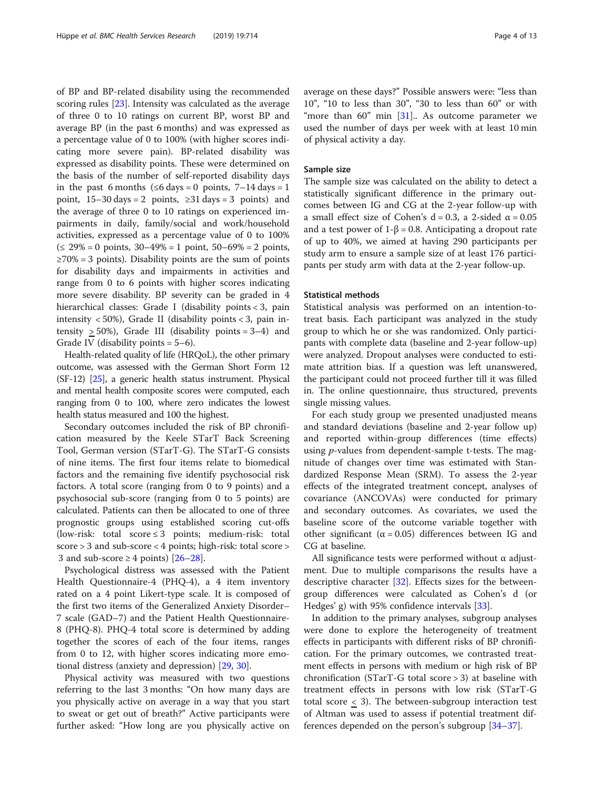of BP and BP-related disability using the recommended scoring rules [\[23\]](#page-11-0). Intensity was calculated as the average of three 0 to 10 ratings on current BP, worst BP and average BP (in the past 6 months) and was expressed as a percentage value of 0 to 100% (with higher scores indicating more severe pain). BP-related disability was expressed as disability points. These were determined on the basis of the number of self-reported disability days in the past 6 months ( $\leq 6$  days = 0 points, 7–14 days = 1 point,  $15-30 \text{ days} = 2 \text{ points}, 231 \text{ days} = 3 \text{ points}$  and the average of three 0 to 10 ratings on experienced impairments in daily, family/social and work/household activities, expressed as a percentage value of 0 to 100% (≤ 29% = 0 points, 30–49% = 1 point, 50–69% = 2 points,  $\geq$ 70% = 3 points). Disability points are the sum of points for disability days and impairments in activities and range from 0 to 6 points with higher scores indicating more severe disability. BP severity can be graded in 4 hierarchical classes: Grade I (disability points < 3, pain intensity  $<$  50%), Grade II (disability points  $<$  3, pain intensity  $> 50\%$ ), Grade III (disability points = 3-4) and Grade IV (disability points  $= 5-6$ ).

Health-related quality of life (HRQoL), the other primary outcome, was assessed with the German Short Form 12 (SF-12) [[25](#page-11-0)], a generic health status instrument. Physical and mental health composite scores were computed, each ranging from 0 to 100, where zero indicates the lowest health status measured and 100 the highest.

Secondary outcomes included the risk of BP chronification measured by the Keele STarT Back Screening Tool, German version (STarT-G). The STarT-G consists of nine items. The first four items relate to biomedical factors and the remaining five identify psychosocial risk factors. A total score (ranging from 0 to 9 points) and a psychosocial sub-score (ranging from 0 to 5 points) are calculated. Patients can then be allocated to one of three prognostic groups using established scoring cut-offs (low-risk: total score ≤ 3 points; medium-risk: total score > 3 and sub-score < 4 points; high-risk: total score > 3 and sub-score  $\geq 4$  points) [\[26](#page-11-0)–[28\]](#page-11-0).

Psychological distress was assessed with the Patient Health Questionnaire-4 (PHQ-4), a 4 item inventory rated on a 4 point Likert-type scale. It is composed of the first two items of the Generalized Anxiety Disorder– 7 scale (GAD–7) and the Patient Health Questionnaire-8 (PHQ-8). PHQ-4 total score is determined by adding together the scores of each of the four items, ranges from 0 to 12, with higher scores indicating more emotional distress (anxiety and depression) [\[29](#page-11-0), [30\]](#page-11-0).

Physical activity was measured with two questions referring to the last 3 months: "On how many days are you physically active on average in a way that you start to sweat or get out of breath?" Active participants were further asked: "How long are you physically active on average on these days?" Possible answers were: "less than 10", "10 to less than 30", "30 to less than 60" or with "more than  $60$ " min [\[31](#page-11-0)].. As outcome parameter we used the number of days per week with at least 10 min of physical activity a day.

#### Sample size

The sample size was calculated on the ability to detect a statistically significant difference in the primary outcomes between IG and CG at the 2-year follow-up with a small effect size of Cohen's d = 0.3, a 2-sided  $α = 0.05$ and a test power of  $1-\beta = 0.8$ . Anticipating a dropout rate of up to 40%, we aimed at having 290 participants per study arm to ensure a sample size of at least 176 participants per study arm with data at the 2-year follow-up.

#### Statistical methods

Statistical analysis was performed on an intention-totreat basis. Each participant was analyzed in the study group to which he or she was randomized. Only participants with complete data (baseline and 2-year follow-up) were analyzed. Dropout analyses were conducted to estimate attrition bias. If a question was left unanswered, the participant could not proceed further till it was filled in. The online questionnaire, thus structured, prevents single missing values.

For each study group we presented unadjusted means and standard deviations (baseline and 2-year follow up) and reported within-group differences (time effects) using  $p$ -values from dependent-sample t-tests. The magnitude of changes over time was estimated with Standardized Response Mean (SRM). To assess the 2-year effects of the integrated treatment concept, analyses of covariance (ANCOVAs) were conducted for primary and secondary outcomes. As covariates, we used the baseline score of the outcome variable together with other significant ( $α = 0.05$ ) differences between IG and CG at baseline.

All significance tests were performed without  $\alpha$  adjustment. Due to multiple comparisons the results have a descriptive character [\[32\]](#page-11-0). Effects sizes for the betweengroup differences were calculated as Cohen's d (or Hedges' g) with 95% confidence intervals [[33](#page-11-0)].

In addition to the primary analyses, subgroup analyses were done to explore the heterogeneity of treatment effects in participants with different risks of BP chronification. For the primary outcomes, we contrasted treatment effects in persons with medium or high risk of BP chronification (STarT-G total score > 3) at baseline with treatment effects in persons with low risk (STarT-G total score < 3). The between-subgroup interaction test of Altman was used to assess if potential treatment differences depended on the person's subgroup [\[34](#page-11-0)–[37\]](#page-11-0).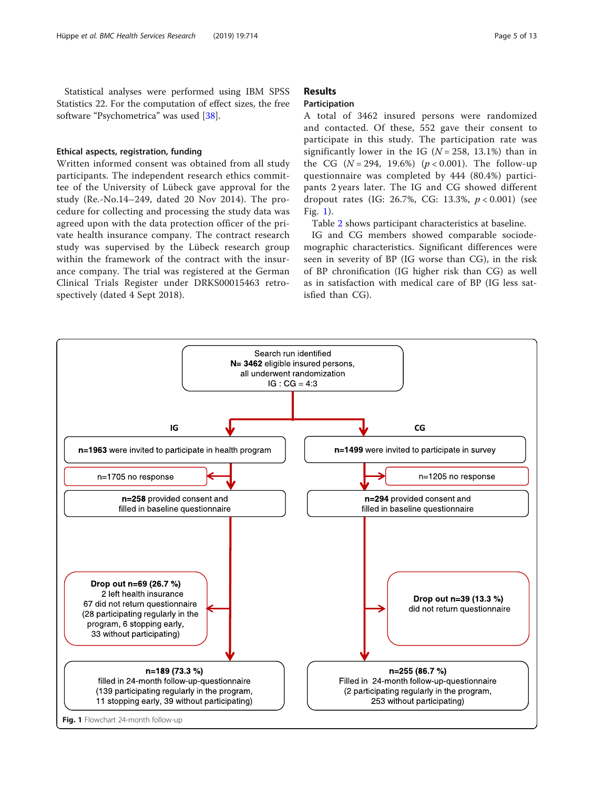<span id="page-4-0"></span>Statistical analyses were performed using IBM SPSS Statistics 22. For the computation of effect sizes, the free software "Psychometrica" was used [\[38\]](#page-11-0).

## Ethical aspects, registration, funding

Written informed consent was obtained from all study participants. The independent research ethics committee of the University of Lübeck gave approval for the study (Re.-No.14–249, dated 20 Nov 2014). The procedure for collecting and processing the study data was agreed upon with the data protection officer of the private health insurance company. The contract research study was supervised by the Lübeck research group within the framework of the contract with the insurance company. The trial was registered at the German Clinical Trials Register under DRKS00015463 retrospectively (dated 4 Sept 2018).

# Results

# Participation

A total of 3462 insured persons were randomized and contacted. Of these, 552 gave their consent to participate in this study. The participation rate was significantly lower in the IG  $(N = 258, 13.1%)$  than in the CG  $(N = 294, 19.6%)$   $(p < 0.001)$ . The follow-up questionnaire was completed by 444 (80.4%) participants 2 years later. The IG and CG showed different dropout rates (IG: 26.7%, CG: 13.3%,  $p < 0.001$ ) (see Fig. 1).

Table [2](#page-5-0) shows participant characteristics at baseline.

IG and CG members showed comparable sociodemographic characteristics. Significant differences were seen in severity of BP (IG worse than CG), in the risk of BP chronification (IG higher risk than CG) as well as in satisfaction with medical care of BP (IG less satisfied than CG).

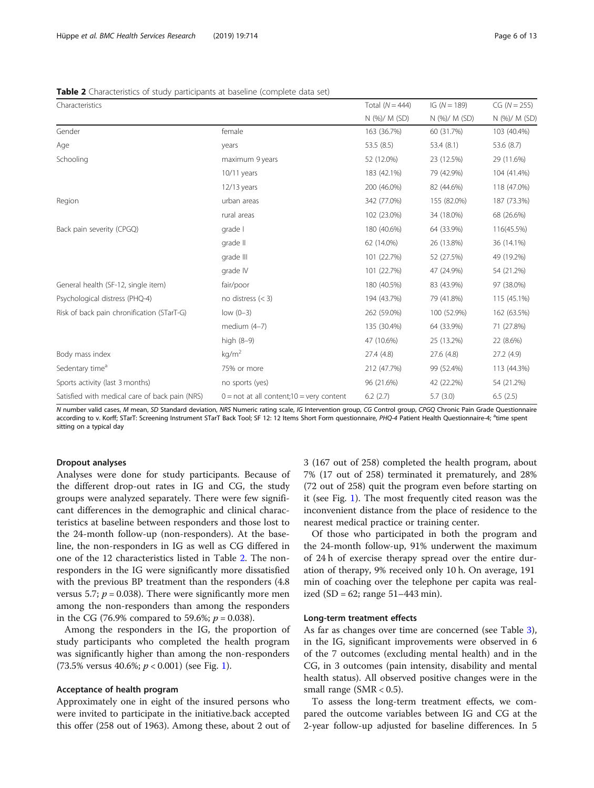<span id="page-5-0"></span>

| <b>Table 2</b> Characteristics of study participants at baseline (complete data set) |  |  |
|--------------------------------------------------------------------------------------|--|--|
|--------------------------------------------------------------------------------------|--|--|

| Characteristics                                |                                                      | Total $(N = 444)$ | IG $(N = 189)$ | $CG (N = 255)$ |
|------------------------------------------------|------------------------------------------------------|-------------------|----------------|----------------|
|                                                |                                                      | N (%)/ M (SD)     | N (%)/ M (SD)  | N (%)/ M (SD)  |
| Gender                                         | female                                               | 163 (36.7%)       | 60 (31.7%)     | 103 (40.4%)    |
| Age                                            | years                                                | 53.5(8.5)         | 53.4 (8.1)     | 53.6 (8.7)     |
| Schooling                                      | maximum 9 years                                      | 52 (12.0%)        | 23 (12.5%)     | 29 (11.6%)     |
|                                                | $10/11$ years                                        | 183 (42.1%)       | 79 (42.9%)     | 104 (41.4%)    |
|                                                | $12/13$ years                                        | 200 (46.0%)       | 82 (44.6%)     | 118 (47.0%)    |
| Region                                         | urban areas                                          | 342 (77.0%)       | 155 (82.0%)    | 187 (73.3%)    |
|                                                | rural areas                                          | 102 (23.0%)       | 34 (18.0%)     | 68 (26.6%)     |
| Back pain severity (CPGQ)                      | grade I                                              | 180 (40.6%)       | 64 (33.9%)     | 116(45.5%)     |
|                                                | grade II                                             | 62 (14.0%)        | 26 (13.8%)     | 36 (14.1%)     |
|                                                | grade III                                            | 101 (22.7%)       | 52 (27.5%)     | 49 (19.2%)     |
|                                                | grade IV                                             | 101 (22.7%)       | 47 (24.9%)     | 54 (21.2%)     |
| General health (SF-12, single item)            | fair/poor                                            | 180 (40.5%)       | 83 (43.9%)     | 97 (38.0%)     |
| Psychological distress (PHQ-4)                 | no distress $(<$ 3)                                  | 194 (43.7%)       | 79 (41.8%)     | 115 (45.1%)    |
| Risk of back pain chronification (STarT-G)     | $low (0-3)$                                          | 262 (59.0%)       | 100 (52.9%)    | 162 (63.5%)    |
|                                                | medium $(4-7)$                                       | 135 (30.4%)       | 64 (33.9%)     | 71 (27.8%)     |
|                                                | high (8-9)                                           | 47 (10.6%)        | 25 (13.2%)     | 22 (8.6%)      |
| Body mass index                                | kg/m <sup>2</sup>                                    | 27.4 (4.8)        | 27.6 (4.8)     | 27.2 (4.9)     |
| Sedentary time <sup>a</sup>                    | 75% or more                                          | 212 (47.7%)       | 99 (52.4%)     | 113 (44.3%)    |
| Sports activity (last 3 months)                | no sports (yes)                                      | 96 (21.6%)        | 42 (22.2%)     | 54 (21.2%)     |
| Satisfied with medical care of back pain (NRS) | $0 = not$ at all content; $10 = \text{very content}$ | 6.2(2.7)          | 5.7(3.0)       | 6.5(2.5)       |

N number valid cases, M mean, SD Standard deviation, NRS Numeric rating scale, IG Intervention group, CG Control group, CPGQ Chronic Pain Grade Questionnaire according to v. Korff; STarT: Screening Instrument STarT Back Tool; SF 12: 12 Items Short Form questionnaire, PHQ-4 Patient Health Questionnaire-4; <sup>a</sup>time spent sitting on a typical day

#### Dropout analyses

Analyses were done for study participants. Because of the different drop-out rates in IG and CG, the study groups were analyzed separately. There were few significant differences in the demographic and clinical characteristics at baseline between responders and those lost to the 24-month follow-up (non-responders). At the baseline, the non-responders in IG as well as CG differed in one of the 12 characteristics listed in Table 2. The nonresponders in the IG were significantly more dissatisfied with the previous BP treatment than the responders (4.8 versus 5.7;  $p = 0.038$ ). There were significantly more men among the non-responders than among the responders in the CG (76.9% compared to 59.6%;  $p = 0.038$ ).

Among the responders in the IG, the proportion of study participants who completed the health program was significantly higher than among the non-responders  $(73.5\% \text{ versus } 40.6\%; p < 0.001) \text{ (see Fig. 1)}.$  $(73.5\% \text{ versus } 40.6\%; p < 0.001) \text{ (see Fig. 1)}.$  $(73.5\% \text{ versus } 40.6\%; p < 0.001) \text{ (see Fig. 1)}.$ 

# Acceptance of health program

Approximately one in eight of the insured persons who were invited to participate in the initiative.back accepted this offer (258 out of 1963). Among these, about 2 out of 3 (167 out of 258) completed the health program, about 7% (17 out of 258) terminated it prematurely, and 28% (72 out of 258) quit the program even before starting on it (see Fig. [1](#page-4-0)). The most frequently cited reason was the inconvenient distance from the place of residence to the nearest medical practice or training center.

Of those who participated in both the program and the 24-month follow-up, 91% underwent the maximum of 24 h of exercise therapy spread over the entire duration of therapy, 9% received only 10 h. On average, 191 min of coaching over the telephone per capita was realized (SD =  $62$ ; range  $51 - 443$  min).

## Long-term treatment effects

As far as changes over time are concerned (see Table [3](#page-6-0)), in the IG, significant improvements were observed in 6 of the 7 outcomes (excluding mental health) and in the CG, in 3 outcomes (pain intensity, disability and mental health status). All observed positive changes were in the small range  $(SMR < 0.5)$ .

To assess the long-term treatment effects, we compared the outcome variables between IG and CG at the 2-year follow-up adjusted for baseline differences. In 5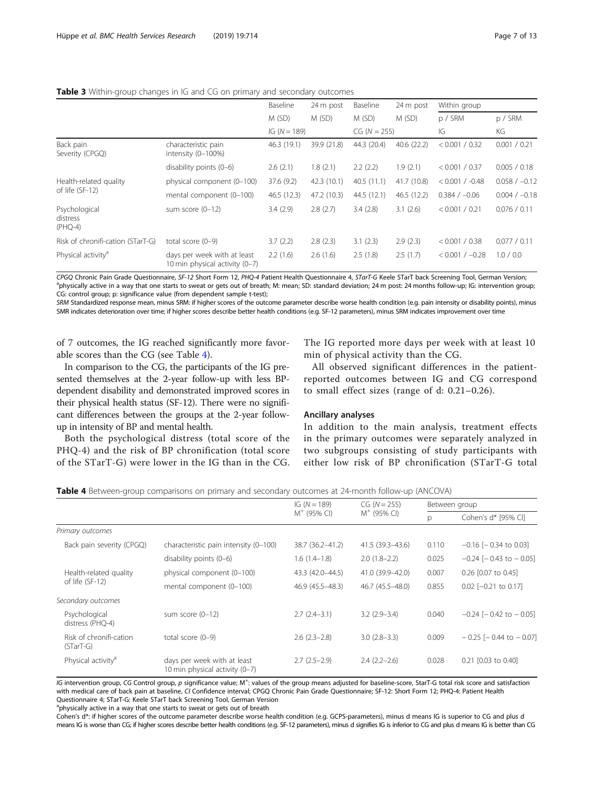# <span id="page-6-0"></span>**Table 3** Within-group changes in IG and CG on primary and secondary outcomes

|                                        |                                                               | Baseline       | 24 m post   | Baseline       | 24 m post   | Within group      |                 |
|----------------------------------------|---------------------------------------------------------------|----------------|-------------|----------------|-------------|-------------------|-----------------|
|                                        |                                                               | M (SD)         | M(SD)       | M(SD)          | M(SD)       | p / SRM           | p/SRM           |
|                                        |                                                               | IG $(N = 189)$ |             | $CG (N = 255)$ |             | IG                | KG              |
| Back pain<br>Severity (CPGQ)           | characteristic pain<br>intensity (0-100%)                     | 46.3 (19.1)    | 39.9 (21.8) | 44.3 (20.4)    | 40.6 (22.2) | < 0.001 / 0.32    | 0.001 / 0.21    |
|                                        | disability points $(0-6)$                                     | 2.6(2.1)       | 1.8(2.1)    | 2.2(2.2)       | 1.9(2.1)    | < 0.001 / 0.37    | 0.005 / 0.18    |
| Health-related quality                 | physical component (0-100)                                    | 37.6(9.2)      | 42.3 (10.1) | 40.5(11.1)     | 41.7 (10.8) | $< 0.001 / -0.48$ | $0.058 / -0.12$ |
| of life (SF-12)                        | mental component (0-100)                                      | 46.5 (12.3)    | 47.2 (10.3) | 44.5 (12.1)    | 46.5 (12.2) | $0.384 / -0.06$   | $0.004 / -0.18$ |
| Psychological<br>distress<br>$(PHQ-4)$ | sum score $(0-12)$                                            | 3.4(2.9)       | 2.8(2.7)    | 3.4(2.8)       | 3.1(2.6)    | < 0.001 / 0.21    | 0.076 / 0.11    |
| Risk of chronifi-cation (STarT-G)      | total score $(0-9)$                                           | 3.7(2.2)       | 2.8(2.3)    | 3.1(2.3)       | 2.9(2.3)    | < 0.001 / 0.38    | 0.077 / 0.11    |
| Physical activity <sup>a</sup>         | days per week with at least<br>10 min physical activity (0-7) | 2.2(1.6)       | 2.6(1.6)    | 2.5(1.8)       | 2.5(1.7)    | $< 0.001 / -0.28$ | 1.0 / 0.0       |

CPGQ Chronic Pain Grade Questionnaire, SF-12 Short Form 12, PHQ-4 Patient Health Questionnaire 4, STarT-G Keele STarT back Screening Tool, German Version; <sup>a</sup> <sup>a</sup>physically active in a way that one starts to sweat or gets out of breath; M: mean; SD: standard deviation; 24 m post: 24 months follow-up; IG: intervention group; CG: control group; p: significance value (from dependent sample t-test);

SRM Standardized response mean, minus SRM: if higher scores of the outcome parameter describe worse health condition (e.g. pain intensity or disability points), minus SMR indicates deterioration over time; if higher scores describe better health conditions (e.g. SF-12 parameters), minus SRM indicates improvement over time

of 7 outcomes, the IG reached significantly more favorable scores than the CG (see Table 4).

The IG reported more days per week with at least 10 min of physical activity than the CG.

In comparison to the CG, the participants of the IG presented themselves at the 2-year follow-up with less BPdependent disability and demonstrated improved scores in their physical health status (SF-12). There were no significant differences between the groups at the 2-year followup in intensity of BP and mental health.

Both the psychological distress (total score of the PHQ-4) and the risk of BP chronification (total score of the STarT-G) were lower in the IG than in the CG. All observed significant differences in the patient-

reported outcomes between IG and CG correspond to small effect sizes (range of d: 0.21–0.26).

# Ancillary analyses

In addition to the main analysis, treatment effects in the primary outcomes were separately analyzed in two subgroups consisting of study participants with either low risk of BP chronification (STarT-G total

| Table 4 Between-group comparisons on primary and secondary outcomes at 24-month follow-up (ANCOVA) |  |  |  |
|----------------------------------------------------------------------------------------------------|--|--|--|
|                                                                                                    |  |  |  |

|                                        |                                                               | IG $(N = 189)$   | $CG (N = 255)$   | Between group |                                |
|----------------------------------------|---------------------------------------------------------------|------------------|------------------|---------------|--------------------------------|
|                                        |                                                               | $M^+$ (95% CI)   | $M^+$ (95% CI)   | p             | Cohen's d* [95% CI]            |
| Primary outcomes                       |                                                               |                  |                  |               |                                |
| Back pain severity (CPGQ)              | characteristic pain intensity (0-100)                         | 38.7 (36.2-41.2) | 41.5 (39.3-43.6) | 0.110         | $-0.16$ [ $-0.34$ to 0.03]     |
|                                        | disability points $(0-6)$                                     | $1.6(1.4-1.8)$   | $2.0(1.8-2.2)$   | 0.025         | $-0.24$ [ $-0.43$ to $-0.05$ ] |
| Health-related quality                 | physical component (0-100)                                    | 43.3 (42.0-44.5) | 41.0 (39.9-42.0) | 0.007         | 0.26 [0.07 to 0.45]            |
| of life (SF-12)                        | mental component (0-100)                                      | 46.9 (45.5-48.3) | 46.7 (45.5-48.0) | 0.855         | $0.02$ [-0.21 to 0.17]         |
| Secondary outcomes                     |                                                               |                  |                  |               |                                |
| Psychological<br>distress (PHQ-4)      | sum score $(0-12)$                                            | $2.7(2.4-3.1)$   | $3.2(2.9-3.4)$   | 0.040         | $-0.24$ $[-0.42$ to $-0.05]$   |
| Risk of chronifi-cation<br>$(STarT-G)$ | total score $(0-9)$                                           | $2.6(2.3-2.8)$   | $3.0(2.8-3.3)$   | 0.009         | $-0.25$ [ $-0.44$ to $-0.07$ ] |
| Physical activity <sup>a</sup>         | days per week with at least<br>10 min physical activity (0-7) | $2.7(2.5-2.9)$   | $2.4(2.2 - 2.6)$ | 0.028         | 0.21 [0.03 to 0.40]            |

IG intervention group, CG Control group, p significance value; M<sup>+</sup>: values of the group means adjusted for baseline-score, StarT-G total risk score and satisfaction with medical care of back pain at baseline, CI Confidence interval; CPGQ Chronic Pain Grade Questionnaire; SF-12: Short Form 12; PHQ-4: Patient Health Questionnaire 4; STarT-G: Keele STarT back Screening Tool, German Version

<sup>a</sup>physically active in a way that one starts to sweat or gets out of breath

Cohen's d\*: if higher scores of the outcome parameter describe worse health condition (e.g. GCPS-parameters), minus d means IG is superior to CG and plus d means IG is worse than CG; if higher scores describe better health conditions (e.g. SF-12 parameters), minus d signifies IG is inferior to CG and plus d means IG is better than CG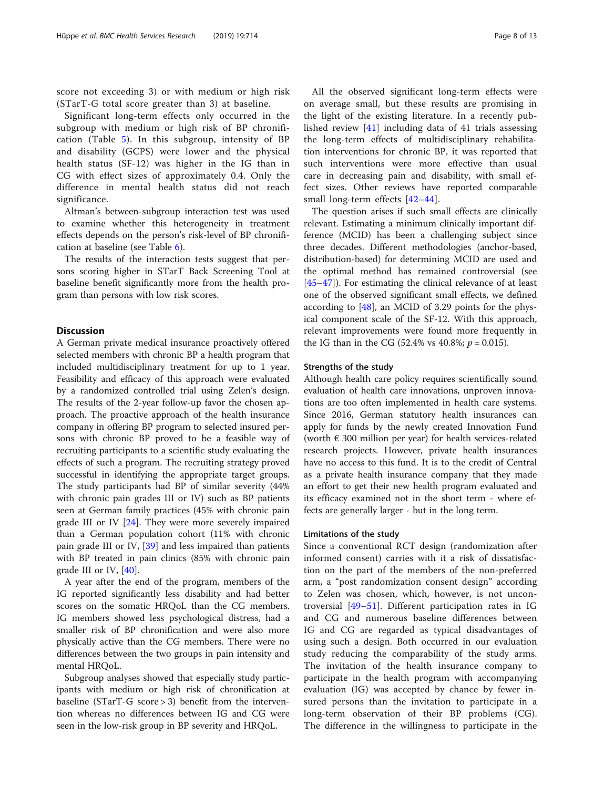score not exceeding 3) or with medium or high risk (STarT-G total score greater than 3) at baseline.

Significant long-term effects only occurred in the subgroup with medium or high risk of BP chronification (Table [5\)](#page-8-0). In this subgroup, intensity of BP and disability (GCPS) were lower and the physical health status (SF-12) was higher in the IG than in CG with effect sizes of approximately 0.4. Only the difference in mental health status did not reach significance.

Altman's between-subgroup interaction test was used to examine whether this heterogeneity in treatment effects depends on the person's risk-level of BP chronification at baseline (see Table [6](#page-9-0)).

The results of the interaction tests suggest that persons scoring higher in STarT Back Screening Tool at baseline benefit significantly more from the health program than persons with low risk scores.

# **Discussion**

A German private medical insurance proactively offered selected members with chronic BP a health program that included multidisciplinary treatment for up to 1 year. Feasibility and efficacy of this approach were evaluated by a randomized controlled trial using Zelen's design. The results of the 2-year follow-up favor the chosen approach. The proactive approach of the health insurance company in offering BP program to selected insured persons with chronic BP proved to be a feasible way of recruiting participants to a scientific study evaluating the effects of such a program. The recruiting strategy proved successful in identifying the appropriate target groups. The study participants had BP of similar severity (44% with chronic pain grades III or IV) such as BP patients seen at German family practices (45% with chronic pain grade III or IV [\[24](#page-11-0)]. They were more severely impaired than a German population cohort (11% with chronic pain grade III or IV, [[39\]](#page-11-0) and less impaired than patients with BP treated in pain clinics (85% with chronic pain grade III or IV, [[40\]](#page-11-0).

A year after the end of the program, members of the IG reported significantly less disability and had better scores on the somatic HRQoL than the CG members. IG members showed less psychological distress, had a smaller risk of BP chronification and were also more physically active than the CG members. There were no differences between the two groups in pain intensity and mental HRQoL.

Subgroup analyses showed that especially study participants with medium or high risk of chronification at baseline (STarT-G score > 3) benefit from the intervention whereas no differences between IG and CG were seen in the low-risk group in BP severity and HRQoL.

All the observed significant long-term effects were on average small, but these results are promising in the light of the existing literature. In a recently published review [[41\]](#page-11-0) including data of 41 trials assessing the long-term effects of multidisciplinary rehabilitation interventions for chronic BP, it was reported that such interventions were more effective than usual care in decreasing pain and disability, with small effect sizes. Other reviews have reported comparable small long-term effects [[42](#page-11-0)–[44\]](#page-11-0).

The question arises if such small effects are clinically relevant. Estimating a minimum clinically important difference (MCID) has been a challenging subject since three decades. Different methodologies (anchor-based, distribution-based) for determining MCID are used and the optimal method has remained controversial (see [[45](#page-11-0)–[47](#page-11-0)]). For estimating the clinical relevance of at least one of the observed significant small effects, we defined according to [[48\]](#page-11-0), an MCID of 3.29 points for the physical component scale of the SF-12. With this approach, relevant improvements were found more frequently in the IG than in the CG (52.4% vs 40.8%;  $p = 0.015$ ).

#### Strengths of the study

Although health care policy requires scientifically sound evaluation of health care innovations, unproven innovations are too often implemented in health care systems. Since 2016, German statutory health insurances can apply for funds by the newly created Innovation Fund (worth  $\epsilon$  300 million per year) for health services-related research projects. However, private health insurances have no access to this fund. It is to the credit of Central as a private health insurance company that they made an effort to get their new health program evaluated and its efficacy examined not in the short term - where effects are generally larger - but in the long term.

#### Limitations of the study

Since a conventional RCT design (randomization after informed consent) carries with it a risk of dissatisfaction on the part of the members of the non-preferred arm, a "post randomization consent design" according to Zelen was chosen, which, however, is not uncontroversial [[49](#page-12-0)–[51\]](#page-12-0). Different participation rates in IG and CG and numerous baseline differences between IG and CG are regarded as typical disadvantages of using such a design. Both occurred in our evaluation study reducing the comparability of the study arms. The invitation of the health insurance company to participate in the health program with accompanying evaluation (IG) was accepted by chance by fewer insured persons than the invitation to participate in a long-term observation of their BP problems (CG). The difference in the willingness to participate in the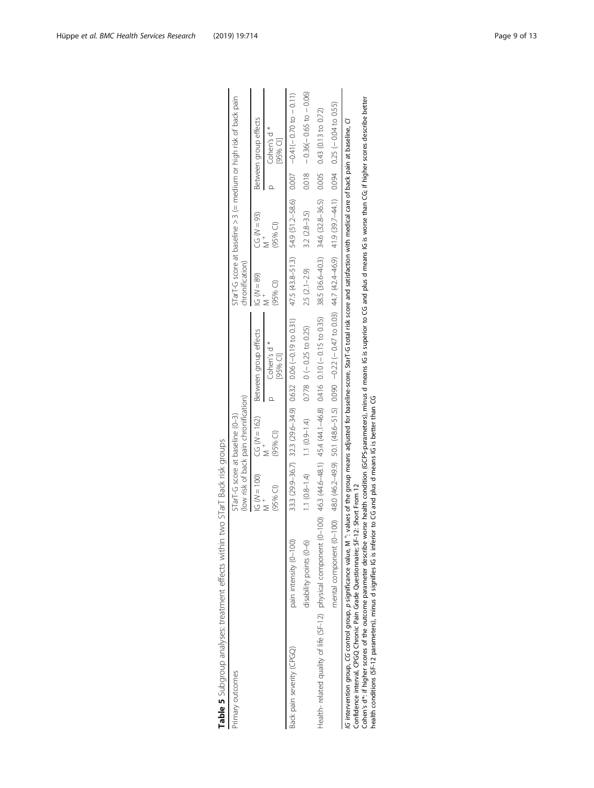| Primary outcomes                                                                                                                                                                                                                                                                                                                                                                                                                                                                                        |                         | STarT-G score at baseline (0-3) | (low risk of back pain chronification) |                                                                                                                                                                                                                              | chronification) |                  | STarT-G score at baseline > 3 (= medium or high risk of back pain |
|---------------------------------------------------------------------------------------------------------------------------------------------------------------------------------------------------------------------------------------------------------------------------------------------------------------------------------------------------------------------------------------------------------------------------------------------------------------------------------------------------------|-------------------------|---------------------------------|----------------------------------------|------------------------------------------------------------------------------------------------------------------------------------------------------------------------------------------------------------------------------|-----------------|------------------|-------------------------------------------------------------------|
|                                                                                                                                                                                                                                                                                                                                                                                                                                                                                                         |                         | $(G(N = 100))$                  | $CG (N = 162)$                         | Between group effects                                                                                                                                                                                                        | $IG (N = 89)$   | $CG (N = 93)$    | Between group effects                                             |
|                                                                                                                                                                                                                                                                                                                                                                                                                                                                                                         |                         | $(95%$ CI)                      | $(95%$ CI)                             | Cohen's d <sup>*</sup><br>[95% CI]                                                                                                                                                                                           | $(95%$ CI)      | $(95%$ Cl)       | Cohen's d <sup>*</sup><br>95% CII                                 |
| Back pain severity (CPGQ)                                                                                                                                                                                                                                                                                                                                                                                                                                                                               | pain intensity (0-100)  |                                 |                                        | 33.3 (29.9-36.7) 32.3 (29.6-34.9) 0.632 0.06 (-0.19 to 0.31)                                                                                                                                                                 |                 |                  | $47.5(43.8-51.3)$ $54.9(51.2-58.6)$ $-0.41(-0.70 to -0.11)$       |
|                                                                                                                                                                                                                                                                                                                                                                                                                                                                                                         | disability points (0-6) | $1.1 (0.8 - 1.4)$               |                                        | $1.1(0.9-1.4)$ 0.778 0 (-0.25 to 0.25)                                                                                                                                                                                       | $2.5(2.1-2.9)$  | $3.2(2.8 - 3.5)$ | $0.018 - 0.36(-0.65 to - 0.06)$                                   |
| Health- related quality of life (SF-12) physical component (0-100) 46.3 (44.6-48.1) 45.4 (44.1-46.8) 0.1416 0.10 (-0.15 to 0.35)                                                                                                                                                                                                                                                                                                                                                                        |                         |                                 |                                        |                                                                                                                                                                                                                              |                 |                  | $38.5(36.6-40.3)$ $34.6(32.8-36.5)$ 0.005 0.43 (0.13 to 0.72)     |
|                                                                                                                                                                                                                                                                                                                                                                                                                                                                                                         |                         |                                 |                                        | metal cod +0.01−0, 11 +4+2,629 ci. 4 < 6.97 +42.4 x +42.4 × (4 × 2000 1 c x 0 − 220 − 0.000 S − 0.05 − 0.05 − 0.05 − 0.00 − 0.000 = 0.00 = 0.00 + 0.00 = 0.00 = 0.00 + 0.01 − 0.1 → 0.1 +4+2.4 × 0.4 + 0.4 + 0.4 + 0.4 + 0.4 |                 |                  |                                                                   |
| Cohen's d*: if higher scores of the outcome parameter describe worse health condition (GCPS-parameters), minus d means IG is superior to CG and plus d means IG is worse than CG; if higher scores describe better<br>health conditions (SF-12 parameters), minus d signifies IG is inferior to CG and plus d means IG is better than CG<br>Confidence interval, CPGQ Chronic Pain Grade Questionnaire; SF-12: Short From 12<br>IG intervention group, CG control group, p significance value, M $^+$ : |                         |                                 |                                        | values of the group means adjusted for baseline-score, StarT-G total risk score and satisfaction with medical care of back pain at baseline, CI                                                                              |                 |                  |                                                                   |

|                          |                                   | J                         |
|--------------------------|-----------------------------------|---------------------------|
|                          |                                   | l                         |
|                          |                                   |                           |
|                          |                                   | j                         |
|                          | אורא האר                          | うち                        |
|                          |                                   |                           |
|                          |                                   |                           |
|                          |                                   |                           |
|                          |                                   |                           |
|                          |                                   |                           |
| $\frac{1}{2}$            | $\frac{1}{2}$                     |                           |
|                          |                                   | )<br> <br> <br> <br> <br> |
| <br> <br>                |                                   |                           |
|                          |                                   |                           |
|                          | - 「 」 ノ クンドキ クニクキラッシャリクキナク キ      | )<br>><br>>               |
|                          |                                   |                           |
|                          |                                   |                           |
|                          |                                   |                           |
|                          |                                   |                           |
|                          |                                   |                           |
|                          |                                   |                           |
|                          |                                   |                           |
|                          |                                   |                           |
|                          |                                   |                           |
|                          |                                   |                           |
| Į                        |                                   |                           |
|                          |                                   |                           |
|                          |                                   | こりこうし                     |
|                          |                                   |                           |
|                          |                                   | $\frac{1}{2}$             |
|                          |                                   |                           |
|                          | i<br>i                            |                           |
|                          | i                                 |                           |
|                          |                                   |                           |
|                          |                                   | <br> <br> <br> <br>       |
|                          |                                   |                           |
|                          |                                   | うりり                       |
|                          |                                   |                           |
|                          |                                   |                           |
|                          |                                   |                           |
|                          |                                   |                           |
|                          |                                   |                           |
|                          |                                   |                           |
|                          |                                   |                           |
|                          |                                   | j                         |
|                          |                                   |                           |
|                          |                                   |                           |
| $\overline{\phantom{a}}$ |                                   |                           |
|                          |                                   |                           |
|                          | <b>Le 5</b> Subgroup analyses: ** |                           |
|                          |                                   |                           |
|                          |                                   |                           |
| ŕ                        |                                   | í                         |
|                          |                                   |                           |

<span id="page-8-0"></span>Hüppe et al. BMC Health Services Research (2019) 19:714 Page 9 of 13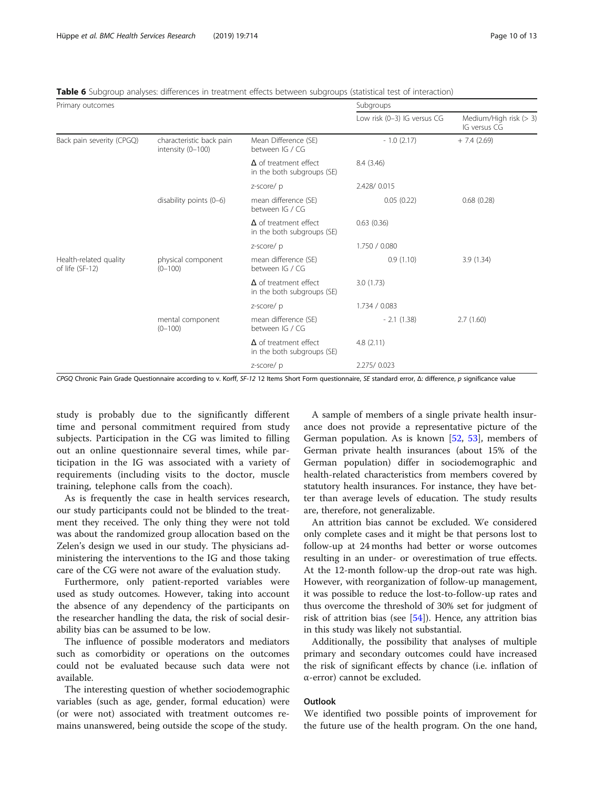| Primary outcomes                          |                                               |                                                            | Subgroups                   |                                        |  |  |
|-------------------------------------------|-----------------------------------------------|------------------------------------------------------------|-----------------------------|----------------------------------------|--|--|
|                                           |                                               |                                                            | Low risk (0-3) IG versus CG | Medium/High risk (> 3)<br>IG versus CG |  |  |
| Back pain severity (CPGQ)                 | characteristic back pain<br>intensity (0-100) | Mean Difference (SE)<br>between IG / CG                    | $-1.0(2.17)$                | $+ 7.4(2.69)$                          |  |  |
|                                           |                                               | $\Delta$ of treatment effect<br>in the both subgroups (SE) | 8.4(3.46)                   |                                        |  |  |
|                                           |                                               | z-score/p                                                  | 2.428/0.015                 |                                        |  |  |
|                                           | disability points (0-6)                       | mean difference (SE)<br>between IG / CG                    | 0.05(0.22)                  | 0.68(0.28)                             |  |  |
|                                           |                                               | $\Delta$ of treatment effect<br>in the both subgroups (SE) | 0.63(0.36)                  |                                        |  |  |
|                                           |                                               | z-score/p                                                  | 1.750 / 0.080               |                                        |  |  |
| Health-related quality<br>of life (SF-12) | physical component<br>$(0 - 100)$             | mean difference (SE)<br>between IG / CG                    | 0.9(1.10)                   | 3.9(1.34)                              |  |  |
|                                           |                                               | $\Delta$ of treatment effect<br>in the both subgroups (SE) | 3.0(1.73)                   |                                        |  |  |
|                                           |                                               | z-score/p                                                  | 1.734 / 0.083               |                                        |  |  |
|                                           | mental component<br>$(0 - 100)$               | mean difference (SE)<br>between IG / CG                    | $-2.1(1.38)$                | 2.7(1.60)                              |  |  |
|                                           |                                               | $\Delta$ of treatment effect<br>in the both subgroups (SE) | 4.8(2.11)                   |                                        |  |  |
|                                           |                                               | z-score/p                                                  | 2.275/0.023                 |                                        |  |  |

<span id="page-9-0"></span>Table 6 Subgroup analyses: differences in treatment effects between subgroups (statistical test of interaction)

CPGQ Chronic Pain Grade Questionnaire according to v. Korff, SF-12 12 Items Short Form questionnaire, SE standard error, Δ: difference, p significance value

study is probably due to the significantly different time and personal commitment required from study subjects. Participation in the CG was limited to filling out an online questionnaire several times, while participation in the IG was associated with a variety of requirements (including visits to the doctor, muscle training, telephone calls from the coach).

As is frequently the case in health services research, our study participants could not be blinded to the treatment they received. The only thing they were not told was about the randomized group allocation based on the Zelen's design we used in our study. The physicians administering the interventions to the IG and those taking care of the CG were not aware of the evaluation study.

Furthermore, only patient-reported variables were used as study outcomes. However, taking into account the absence of any dependency of the participants on the researcher handling the data, the risk of social desirability bias can be assumed to be low.

The influence of possible moderators and mediators such as comorbidity or operations on the outcomes could not be evaluated because such data were not available.

The interesting question of whether sociodemographic variables (such as age, gender, formal education) were (or were not) associated with treatment outcomes remains unanswered, being outside the scope of the study.

A sample of members of a single private health insurance does not provide a representative picture of the German population. As is known [\[52](#page-12-0), [53](#page-12-0)], members of German private health insurances (about 15% of the German population) differ in sociodemographic and health-related characteristics from members covered by statutory health insurances. For instance, they have better than average levels of education. The study results are, therefore, not generalizable.

An attrition bias cannot be excluded. We considered only complete cases and it might be that persons lost to follow-up at 24 months had better or worse outcomes resulting in an under- or overestimation of true effects. At the 12-month follow-up the drop-out rate was high. However, with reorganization of follow-up management, it was possible to reduce the lost-to-follow-up rates and thus overcome the threshold of 30% set for judgment of risk of attrition bias (see [[54\]](#page-12-0)). Hence, any attrition bias in this study was likely not substantial.

Additionally, the possibility that analyses of multiple primary and secondary outcomes could have increased the risk of significant effects by chance (i.e. inflation of α-error) cannot be excluded.

# **Outlook**

We identified two possible points of improvement for the future use of the health program. On the one hand,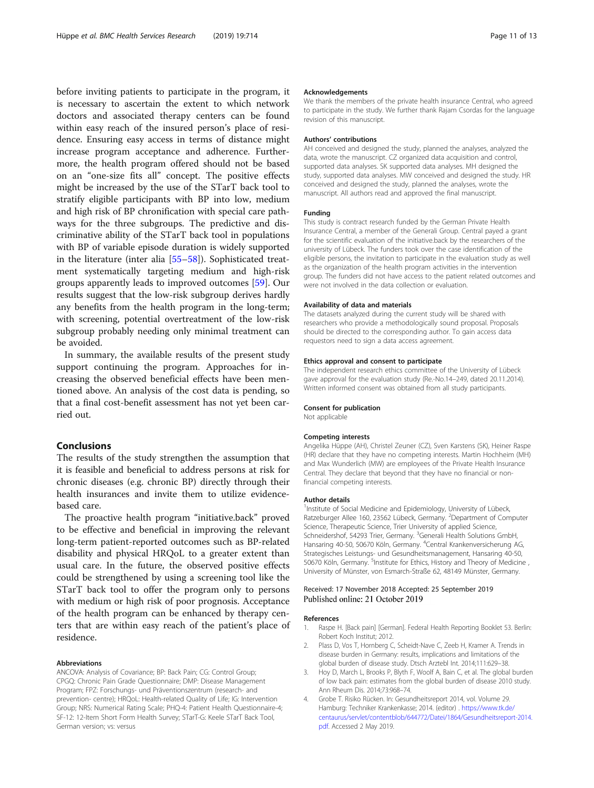<span id="page-10-0"></span>before inviting patients to participate in the program, it is necessary to ascertain the extent to which network doctors and associated therapy centers can be found within easy reach of the insured person's place of residence. Ensuring easy access in terms of distance might increase program acceptance and adherence. Furthermore, the health program offered should not be based on an "one-size fits all" concept. The positive effects might be increased by the use of the STarT back tool to stratify eligible participants with BP into low, medium and high risk of BP chronification with special care pathways for the three subgroups. The predictive and discriminative ability of the STarT back tool in populations with BP of variable episode duration is widely supported in the literature (inter alia [[55](#page-12-0)–[58](#page-12-0)]). Sophisticated treatment systematically targeting medium and high-risk groups apparently leads to improved outcomes [[59\]](#page-12-0). Our results suggest that the low-risk subgroup derives hardly any benefits from the health program in the long-term; with screening, potential overtreatment of the low-risk subgroup probably needing only minimal treatment can be avoided.

In summary, the available results of the present study support continuing the program. Approaches for increasing the observed beneficial effects have been mentioned above. An analysis of the cost data is pending, so that a final cost-benefit assessment has not yet been carried out.

# Conclusions

The results of the study strengthen the assumption that it is feasible and beneficial to address persons at risk for chronic diseases (e.g. chronic BP) directly through their health insurances and invite them to utilize evidencebased care.

The proactive health program "initiative.back" proved to be effective and beneficial in improving the relevant long-term patient-reported outcomes such as BP-related disability and physical HRQoL to a greater extent than usual care. In the future, the observed positive effects could be strengthened by using a screening tool like the STarT back tool to offer the program only to persons with medium or high risk of poor prognosis. Acceptance of the health program can be enhanced by therapy centers that are within easy reach of the patient's place of residence.

#### Abbreviations

ANCOVA: Analysis of Covariance; BP: Back Pain; CG: Control Group; CPGQ: Chronic Pain Grade Questionnaire; DMP: Disease Management Program; FPZ: Forschungs- und Präventionszentrum (research- and prevention- centre); HRQoL: Health-related Quality of Life; IG: Intervention Group; NRS: Numerical Rating Scale; PHQ-4: Patient Health Questionnaire-4; SF-12: 12-Item Short Form Health Survey; STarT-G: Keele STarT Back Tool, German version; vs: versus

#### Acknowledgements

We thank the members of the private health insurance Central, who agreed to participate in the study. We further thank Rajam Csordas for the language revision of this manuscript.

# Authors' contributions

AH conceived and designed the study, planned the analyses, analyzed the data, wrote the manuscript. CZ organized data acquisition and control, supported data analyses. SK supported data analyses. MH designed the study, supported data analyses. MW conceived and designed the study. HR conceived and designed the study, planned the analyses, wrote the manuscript. All authors read and approved the final manuscript.

#### Funding

This study is contract research funded by the German Private Health Insurance Central, a member of the Generali Group. Central payed a grant for the scientific evaluation of the initiative.back by the researchers of the university of Lübeck. The funders took over the case identification of the eligible persons, the invitation to participate in the evaluation study as well as the organization of the health program activities in the intervention group. The funders did not have access to the patient related outcomes and were not involved in the data collection or evaluation.

#### Availability of data and materials

The datasets analyzed during the current study will be shared with researchers who provide a methodologically sound proposal. Proposals should be directed to the corresponding author. To gain access data requestors need to sign a data access agreement.

#### Ethics approval and consent to participate

The independent research ethics committee of the University of Lübeck gave approval for the evaluation study (Re.-No.14–249, dated 20.11.2014). Written informed consent was obtained from all study participants.

#### Consent for publication

Not applicable

#### Competing interests

Angelika Hüppe (AH), Christel Zeuner (CZ), Sven Karstens (SK), Heiner Raspe (HR) declare that they have no competing interests. Martin Hochheim (MH) and Max Wunderlich (MW) are employees of the Private Health Insurance Central. They declare that beyond that they have no financial or nonfinancial competing interests.

#### Author details

<sup>1</sup>Institute of Social Medicine and Epidemiology, University of Lübeck Ratzeburger Allee 160, 23562 Lübeck, Germany. <sup>2</sup>Department of Computer Science, Therapeutic Science, Trier University of applied Science, Schneidershof, 54293 Trier, Germany. <sup>3</sup>Generali Health Solutions GmbH, Hansaring 40-50, 50670 Köln, Germany. <sup>4</sup>Central Krankenversicherung AG Strategisches Leistungs- und Gesundheitsmanagement, Hansaring 40-50, 50670 Köln, Germany. <sup>5</sup>Institute for Ethics, History and Theory of Medicine, University of Münster, von Esmarch-Straße 62, 48149 Münster, Germany.

#### Received: 17 November 2018 Accepted: 25 September 2019 Published online: 21 October 2019

#### References

- 1. Raspe H. [Back pain] [German]. Federal Health Reporting Booklet 53. Berlin: Robert Koch Institut; 2012.
- 2. Plass D, Vos T, Hornberg C, Scheidt-Nave C, Zeeb H, Kramer A. Trends in disease burden in Germany: results, implications and limitations of the global burden of disease study. Dtsch Arztebl Int. 2014;111:629–38.
- 3. Hoy D, March L, Brooks P, Blyth F, Woolf A, Bain C, et al. The global burden of low back pain: estimates from the global burden of disease 2010 study. Ann Rheum Dis. 2014;73:968–74.
- 4. Grobe T. Risiko Rücken. In: Gesundheitsreport 2014, vol. Volume 29. Hamburg: Techniker Krankenkasse; 2014. (editor) . [https://www.tk.de/](https://www.tk.de/centaurus/servlet/contentblob/644772/Datei/1864/Gesundheitsreport-2014.pdf) [centaurus/servlet/contentblob/644772/Datei/1864/Gesundheitsreport-2014.](https://www.tk.de/centaurus/servlet/contentblob/644772/Datei/1864/Gesundheitsreport-2014.pdf) [pdf](https://www.tk.de/centaurus/servlet/contentblob/644772/Datei/1864/Gesundheitsreport-2014.pdf). Accessed 2 May 2019.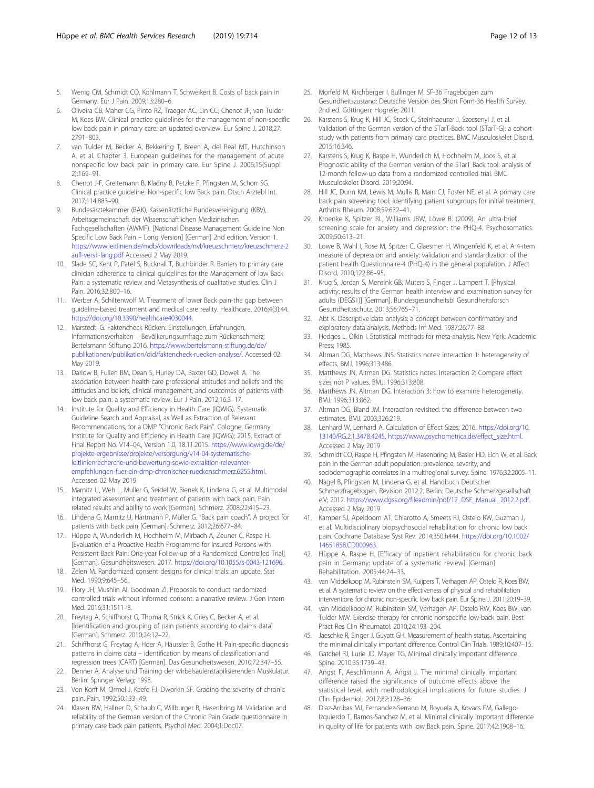- <span id="page-11-0"></span>5. Wenig CM, Schmidt CO, Kohlmann T, Schweikert B. Costs of back pain in Germany. Eur J Pain. 2009;13:280–6.
- 6. Oliveira CB, Maher CG, Pinto RZ, Traeger AC, Lin CC, Chenot JF, van Tulder M, Koes BW. Clinical practice guidelines for the management of non-specific low back pain in primary care: an updated overview. Eur Spine J. 2018;27: 2791–803.
- 7. van Tulder M, Becker A, Bekkering T, Breen A, del Real MT, Hutchinson A, et al. Chapter 3. European guidelines for the management of acute nonspecific low back pain in primary care. Eur Spine J. 2006;15(Suppl 2):169–91.
- 8. Chenot J-F, Greitemann B, Kladny B, Petzke F, Pfingsten M, Schorr SG. Clinical practice guideline. Non-specific low Back pain. Dtsch Arztebl Int. 2017;114:883–90.
- 9. Bundesärztekammer (BÄK), Kassenärztliche Bundesvereinigung (KBV), Arbeitsgemeinschaft der Wissenschaftlichen Medizinischen Fachgesellschaften (AWMF). [National Disease Management Guideline Non Specific Low Back Pain – Long Version] [German] 2nd edition. Version 1. [https://www.leitlinien.de/mdb/downloads/nvl/kreuzschmerz/kreuzschmerz-2](https://www.leitlinien.de/mdb/downloads/nvl/kreuzschmerz/kreuzschmerz-2aufl-vers1-lang.pdf) [aufl-vers1-lang.pdf](https://www.leitlinien.de/mdb/downloads/nvl/kreuzschmerz/kreuzschmerz-2aufl-vers1-lang.pdf) Accessed 2 May 2019.
- 10. Slade SC, Kent P, Patel S, Bucknall T, Buchbinder R. Barriers to primary care clinician adherence to clinical guidelines for the Management of low Back Pain: a systematic review and Metasynthesis of qualitative studies. Clin J Pain. 2016;32:800–16.
- 11. Werber A, Schiltenwolf M. Treatment of lower Back pain-the gap between guideline-based treatment and medical care reality. Healthcare. 2016;4(3):44. <https://doi.org/10.3390/healthcare4030044>.
- 12. Marstedt, G. Faktencheck Rücken: Einstellungen, Erfahrungen, Informationsverhalten – Bevölkerungsumfrage zum Rückenschmerz; Bertelsmann Stiftung 2016. [https://www.bertelsmann-stiftung.de/de/](https://www.bertelsmann-stiftung.de/de/publikationen/publikation/did/faktencheck-ruecken-analyse/) [publikationen/publikation/did/faktencheck-ruecken-analyse/.](https://www.bertelsmann-stiftung.de/de/publikationen/publikation/did/faktencheck-ruecken-analyse/) Accessed 02 May 2019.
- 13. Darlow B, Fullen BM, Dean S, Hurley DA, Baxter GD, Dowell A. The association between health care professional attitudes and beliefs and the attitudes and beliefs, clinical management, and outcomes of patients with low back pain: a systematic review. Eur J Pain. 2012;16:3–17.
- 14. Institute for Quality and Efficiency in Health Care (IQWIG). Systematic Guideline Search and Appraisal, as Well as Extraction of Relevant Recommendations, for a DMP "Chronic Back Pain". Cologne. Germany: Institute for Quality and Efficiency in Health Care (IQWiG); 2015. Extract of Final Report No. V14–04., Version 1.0, 18.11.2015. [https://www.iqwig.de/de/](https://www.iqwig.de/de/projekte-ergebnisse/projekte/versorgung/v14-04-systematische-leitlinienrecherche-und-bewertung-sowie-extraktion-relevanter-empfehlungen-fuer-ein-dmp-chronischer-rueckenschmerz.6255.html) [projekte-ergebnisse/projekte/versorgung/v14-04-systematische](https://www.iqwig.de/de/projekte-ergebnisse/projekte/versorgung/v14-04-systematische-leitlinienrecherche-und-bewertung-sowie-extraktion-relevanter-empfehlungen-fuer-ein-dmp-chronischer-rueckenschmerz.6255.html)[leitlinienrecherche-und-bewertung-sowie-extraktion-relevanter](https://www.iqwig.de/de/projekte-ergebnisse/projekte/versorgung/v14-04-systematische-leitlinienrecherche-und-bewertung-sowie-extraktion-relevanter-empfehlungen-fuer-ein-dmp-chronischer-rueckenschmerz.6255.html)[empfehlungen-fuer-ein-dmp-chronischer-rueckenschmerz.6255.html.](https://www.iqwig.de/de/projekte-ergebnisse/projekte/versorgung/v14-04-systematische-leitlinienrecherche-und-bewertung-sowie-extraktion-relevanter-empfehlungen-fuer-ein-dmp-chronischer-rueckenschmerz.6255.html) Accessed 02 May 2019
- 15. Marnitz U, Weh L, Muller G, Seidel W, Bienek K, Lindena G, et al. Multimodal integrated assessment and treatment of patients with back pain. Pain related results and ability to work [German]. Schmerz. 2008;22:415–23.
- 16. Lindena G, Marnitz U, Hartmann P, Müller G. "Back pain coach". A project for patients with back pain [German]. Schmerz. 2012;26:677–84.
- 17. Hüppe A, Wunderlich M, Hochheim M, Mirbach A, Zeuner C, Raspe H. [Evaluation of a Proactive Health Programme for Insured Persons with Persistent Back Pain: One-year Follow-up of a Randomised Controlled Trial] [German]. Gesundheitswesen. 2017. <https://doi.org/10.1055/s-0043-121696>.
- 18. Zelen M. Randomized consent designs for clinical trials: an update. Stat Med. 1990;9:645–56.
- 19. Flory JH, Mushlin AI, Goodman ZI. Proposals to conduct randomized controlled trials without informed consent: a narrative review. J Gen Intern Med. 2016;31:1511–8.
- 20. Freytag A, Schiffhorst G, Thoma R, Strick K, Gries C, Becker A, et al. [Identification and grouping of pain patients according to claims data] [German]. Schmerz. 2010;24:12–22.
- 21. Schiffhorst G, Freytag A, Höer A, Häussler B, Gothe H. Pain-specific diagnosis patterns in claims data – identification by means of classification and regression trees (CART) [German]. Das Gesundheitswesen. 2010;72:347–55.
- 22. Denner A. Analyse und Training der wirbelsäulenstabilisierenden Muskulatur. Berlin: Springer Verlag; 1998.
- 23. Von Korff M, Ormel J, Keefe FJ, Dworkin SF. Grading the severity of chronic pain. Pain. 1992;50:133–49.
- 24. Klasen BW, Hallner D, Schaub C, Willburger R, Hasenbring M. Validation and reliability of the German version of the Chronic Pain Grade questionnaire in primary care back pain patients. Psychol Med. 2004;1:Doc07.
- 25. Morfeld M, Kirchberger I, Bullinger M. SF-36 Fragebogen zum Gesundheitszustand: Deutsche Version des Short Form-36 Health Survey. 2nd ed. Göttingen: Hogrefe; 2011.
- 26. Karstens S, Krug K, Hill JC, Stock C, Steinhaeuser J, Szecsenyi J, et al. Validation of the German version of the STarT-Back tool (STarT-G): a cohort study with patients from primary care practices. BMC Musculoskelet Disord. 2015;16:346.
- 27. Karstens S, Krug K, Raspe H, Wunderlich M, Hochheim M, Joos S, et al. Prognostic ability of the German version of the STarT Back tool: analysis of 12-month follow-up data from a randomized controlled trial. BMC Musculoskelet Disord. 2019;20:94.
- 28. Hill JC, Dunn KM, Lewis M, Mullis R, Main CJ, Foster NE, et al. A primary care back pain screening tool: identifying patient subgroups for initial treatment. Arthritis Rheum. 2008;59:632–41.
- 29. Kroenke K, Spitzer RL, Williams JBW, Löwe B. (2009). An ultra-brief screening scale for anxiety and depression: the PHQ-4. Psychosomatics. 2009;50:613–21.
- 30. Löwe B, Wahl I, Rose M, Spitzer C, Glaesmer H, Wingenfeld K, et al. A 4-item measure of depression and anxiety: validation and standardization of the patient health Questionnaire-4 (PHQ-4) in the general population. J Affect Disord. 2010;122:86–95.
- 31. Krug S, Jordan S, Mensink GB, Muters S, Finger J, Lampert T. [Physical activity: results of the German health interview and examination survey for adults (DEGS1)] [German]. Bundesgesundheitsbl Gesundheitsforsch Gesundheitsschutz. 2013;56:765–71.
- 32. Abt K. Descriptive data analysis: a concept between confirmatory and exploratory data analysis. Methods Inf Med. 1987;26:77–88.
- 33. Hedges L, Olkin I. Statistical methods for meta-analysis. New York: Academic Press; 1985.
- 34. Altman DG, Matthews JNS. Statistics notes: interaction 1: heterogeneity of effects. BMJ. 1996;313:486.
- 35. Matthews JN, Altman DG. Statistics notes. Interaction 2: Compare effect sizes not P values. BMJ. 1996;313:808.
- 36. Matthews JN, Altman DG. Interaction 3: how to examine heterogeneity. BMJ. 1996;313:862.
- 37. Altman DG, Bland JM. Interaction revisited: the difference between two estimates. BMJ. 2003;326:219.
- 38. Lenhard W, Lenhard A. Calculation of Effect Sizes; 2016. [https://doi.org/10.](https://doi.org/10.13140/RG.2.1.3478.4245) [13140/RG.2.1.3478.4245](https://doi.org/10.13140/RG.2.1.3478.4245). [https://www.psychometrica.de/effect\\_size.html.](https://www.psychometrica.de/effect_size.html) Accessed 2 May 2019
- 39. Schmidt CO, Raspe H, Pfingsten M, Hasenbring M, Basler HD, Eich W, et al. Back pain in the German adult population: prevalence, severity, and sociodemographic correlates in a multiregional survey. Spine. 1976;32:2005–11.
- 40. Nagel B, Pfingsten M, Lindena G, et al. Handbuch Deutscher Schmerzfragebogen. Revision 2012.2. Berlin: Deutsche Schmerzgesellschaft e.V; 2012. [https://www.dgss.org/fileadmin/pdf/12\\_DSF\\_Manual\\_2012.2.pdf.](https://www.dgss.org/fileadmin/pdf/12_DSF_Manual_2012.2.pdf) Accessed 2 May 2019
- 41. Kamper SJ, Apeldoorn AT, Chiarotto A, Smeets RJ, Ostelo RW, Guzman J, et al. Multidisciplinary biopsychosocial rehabilitation for chronic low back pain. Cochrane Database Syst Rev. 2014;350:h444. [https://doi.org/10.1002/](https://doi.org/10.1002/14651858.CD000963) [14651858.CD000963](https://doi.org/10.1002/14651858.CD000963).
- 42. Hüppe A, Raspe H. [Efficacy of inpatient rehabilitation for chronic back pain in Germany: update of a systematic review] [German]. Rehabilitation. 2005;44:24–33.
- 43. van Middelkoop M, Rubinstein SM, Kuijpers T, Verhagen AP, Ostelo R, Koes BW, et al. A systematic review on the effectiveness of physical and rehabilitation interventions for chronic non-specific low back pain. Eur Spine J. 2011;20:19–39.
- 44. van Middelkoop M, Rubinstein SM, Verhagen AP, Ostelo RW, Koes BW, van Tulder MW. Exercise therapy for chronic nonspecific low-back pain. Best Pract Res Clin Rheumatol. 2010;24:193–204.
- 45. Jaeschke R, Singer J, Guyatt GH. Measurement of health status. Ascertaining the minimal clinically important difference. Control Clin Trials. 1989;10:407–15.
- 46. Gatchel RJ, Lurie JD, Mayer TG. Minimal clinically important difference. Spine. 2010;35:1739–43.
- 47. Angst F, Aeschlimann A, Angst J. The minimal clinically important difference raised the significance of outcome effects above the statistical level, with methodological implications for future studies. J Clin Epidemiol. 2017;82:128–36.
- 48. Diaz-Arribas MJ, Fernandez-Serrano M, Royuela A, Kovacs FM, Gallego-Izquierdo T, Ramos-Sanchez M, et al. Minimal clinically important difference in quality of life for patients with low Back pain. Spine. 2017;42:1908–16.